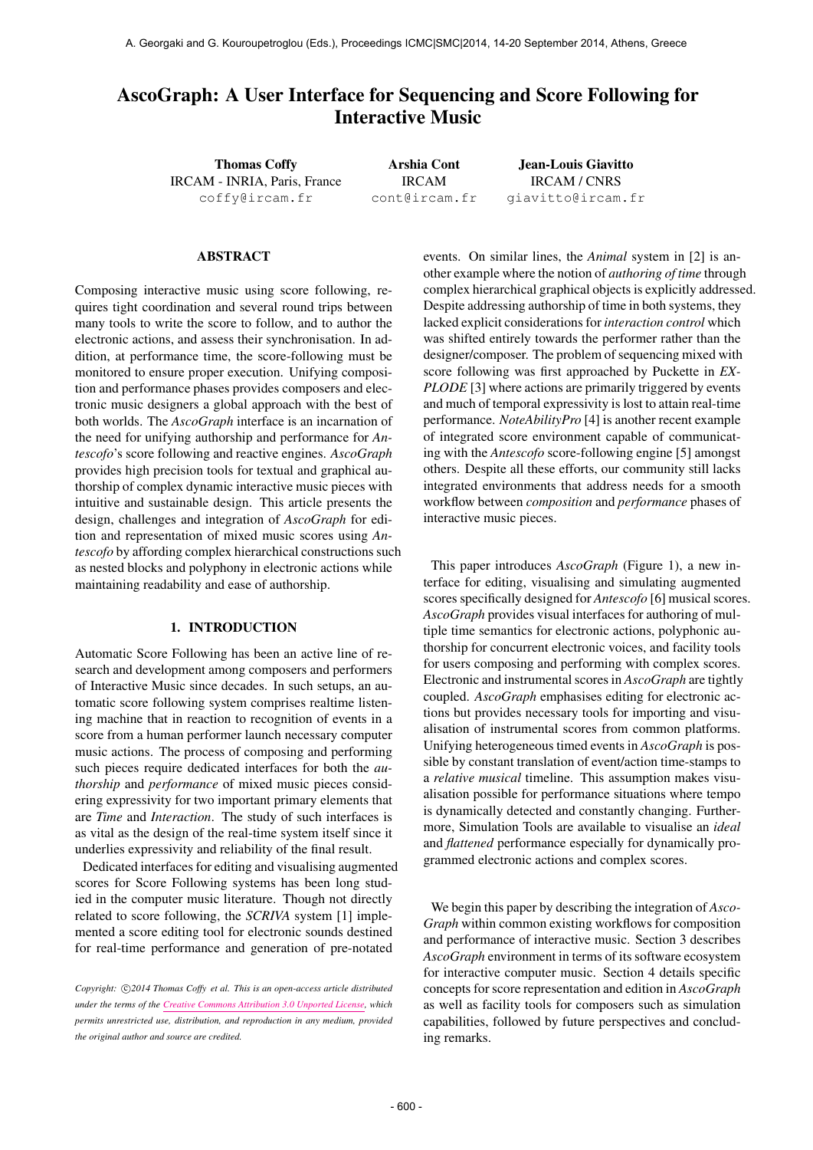# AscoGraph: A User Interface for Sequencing and Score Following for Interactive Music

Thomas Coffy IRCAM - INRIA, Paris, France [coffy@ircam.fr](mailto:coffy@ircam.fr)

Arshia Cont IRCAM [cont@ircam.fr](mailto:cont@ircam.fr)

Jean-Louis Giavitto IRCAM / CNRS [giavitto@ircam.fr](mailto:giavitto@ircam.fr)

#### ABSTRACT

Composing interactive music using score following, requires tight coordination and several round trips between many tools to write the score to follow, and to author the electronic actions, and assess their synchronisation. In addition, at performance time, the score-following must be monitored to ensure proper execution. Unifying composition and performance phases provides composers and electronic music designers a global approach with the best of both worlds. The *AscoGraph* interface is an incarnation of the need for unifying authorship and performance for *Antescofo*'s score following and reactive engines. *AscoGraph* provides high precision tools for textual and graphical authorship of complex dynamic interactive music pieces with intuitive and sustainable design. This article presents the design, challenges and integration of *AscoGraph* for edition and representation of mixed music scores using *Antescofo* by affording complex hierarchical constructions such as nested blocks and polyphony in electronic actions while maintaining readability and ease of authorship.

### 1. INTRODUCTION

Automatic Score Following has been an active line of research and development among composers and performers of Interactive Music since decades. In such setups, an automatic score following system comprises realtime listening machine that in reaction to recognition of events in a score from a human performer launch necessary computer music actions. The process of composing and performing such pieces require dedicated interfaces for both the *authorship* and *performance* of mixed music pieces considering expressivity for two important primary elements that are *Time* and *Interaction*. The study of such interfaces is as vital as the design of the real-time system itself since it underlies expressivity and reliability of the final result.

Dedicated interfaces for editing and visualising augmented scores for Score Following systems has been long studied in the computer music literature. Though not directly related to score following, the *SCRIVA* system [1] implemented a score editing tool for electronic sounds destined for real-time performance and generation of pre-notated

events. On similar lines, the *Animal* system in [2] is another example where the notion of *authoring of time* through complex hierarchical graphical objects is explicitly addressed. Despite addressing authorship of time in both systems, they lacked explicit considerations for *interaction control* which was shifted entirely towards the performer rather than the designer/composer. The problem of sequencing mixed with score following was first approached by Puckette in *EX-PLODE* [3] where actions are primarily triggered by events and much of temporal expressivity is lost to attain real-time performance. *NoteAbilityPro* [4] is another recent example of integrated score environment capable of communicating with the *Antescofo* score-following engine [5] amongst others. Despite all these efforts, our community still lacks integrated environments that address needs for a smooth workflow between *composition* and *performance* phases of interactive music pieces.

This paper introduces *AscoGraph* (Figure 1), a new interface for editing, visualising and simulating augmented scores specifically designed for *Antescofo* [6] musical scores. *AscoGraph* provides visual interfaces for authoring of multiple time semantics for electronic actions, polyphonic authorship for concurrent electronic voices, and facility tools for users composing and performing with complex scores. Electronic and instrumental scores in *AscoGraph* are tightly coupled. *AscoGraph* emphasises editing for electronic actions but provides necessary tools for importing and visualisation of instrumental scores from common platforms. Unifying heterogeneous timed events in *AscoGraph* is possible by constant translation of event/action time-stamps to a *relative musical* timeline. This assumption makes visualisation possible for performance situations where tempo is dynamically detected and constantly changing. Furthermore, Simulation Tools are available to visualise an *ideal* and *flattened* performance especially for dynamically programmed electronic actions and complex scores.

We begin this paper by describing the integration of *Asco-Graph* within common existing workflows for composition and performance of interactive music. Section 3 describes *AscoGraph* environment in terms of its software ecosystem for interactive computer music. Section 4 details specific concepts for score representation and edition in *AscoGraph* as well as facility tools for composers such as simulation capabilities, followed by future perspectives and concluding remarks.

Copyright:  $\bigcirc$  2014 Thomas Coffy et al. This is an open-access article distributed *under the terms of the [Creative Commons Attribution 3.0 Unported License,](http://creativecommons.org/licenses/by/3.0/) which permits unrestricted use, distribution, and reproduction in any medium, provided the original author and source are credited.*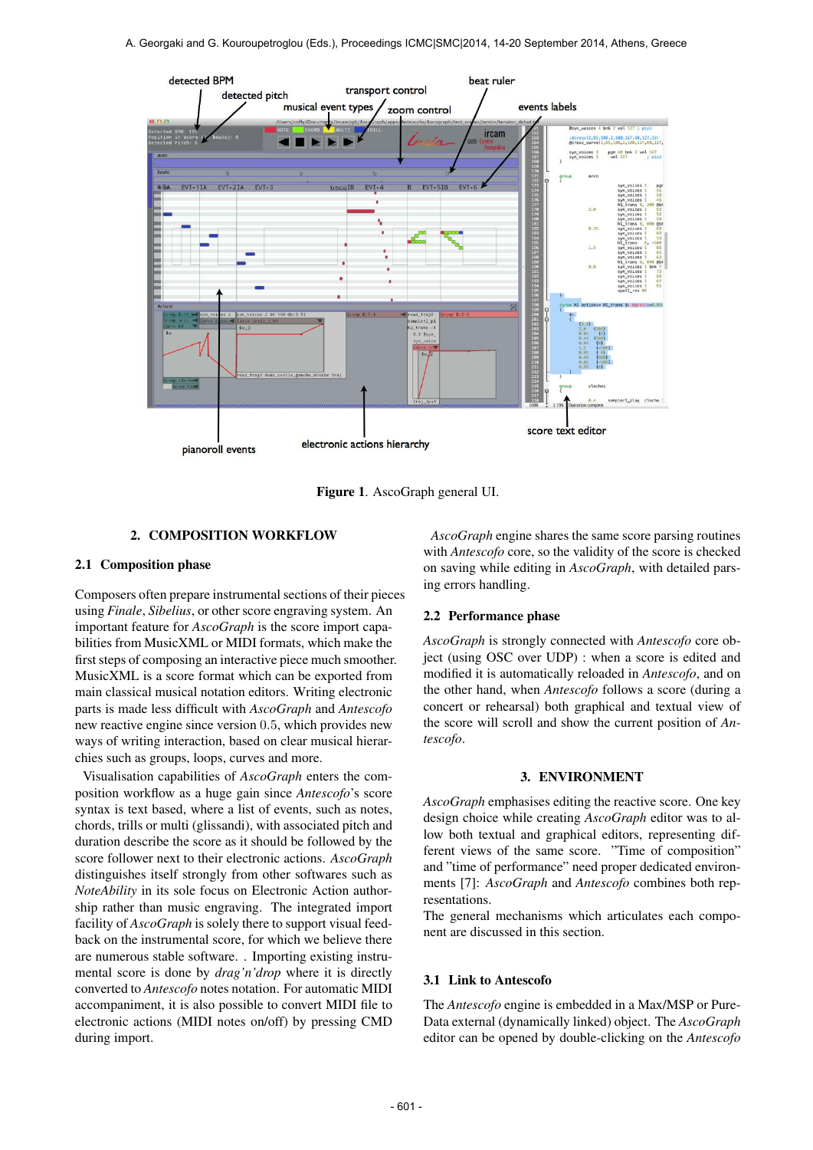

Figure 1. AscoGraph general UI.

# 2. COMPOSITION WORKFLOW

#### 2.1 Composition phase

Composers often prepare instrumental sections of their pieces using *Finale*, *Sibelius*, or other score engraving system. An important feature for *AscoGraph* is the score import capabilities from MusicXML or MIDI formats, which make the first steps of composing an interactive piece much smoother. MusicXML is a score format which can be exported from main classical musical notation editors. Writing electronic parts is made less difficult with *AscoGraph* and *Antescofo* new reactive engine since version 0.5, which provides new ways of writing interaction, based on clear musical hierarchies such as groups, loops, curves and more.

Visualisation capabilities of *AscoGraph* enters the composition workflow as a huge gain since *Antescofo*'s score syntax is text based, where a list of events, such as notes, chords, trills or multi (glissandi), with associated pitch and duration describe the score as it should be followed by the score follower next to their electronic actions. *AscoGraph* distinguishes itself strongly from other softwares such as *NoteAbility* in its sole focus on Electronic Action authorship rather than music engraving. The integrated import facility of *AscoGraph* is solely there to support visual feedback on the instrumental score, for which we believe there are numerous stable software. . Importing existing instrumental score is done by *drag'n'drop* where it is directly converted to *Antescofo* notes notation. For automatic MIDI accompaniment, it is also possible to convert MIDI file to electronic actions (MIDI notes on/off) by pressing CMD during import.

*AscoGraph* engine shares the same score parsing routines with *Antescofo* core, so the validity of the score is checked on saving while editing in *AscoGraph*, with detailed parsing errors handling.

#### 2.2 Performance phase

*AscoGraph* is strongly connected with *Antescofo* core object (using OSC over UDP) : when a score is edited and modified it is automatically reloaded in *Antescofo*, and on the other hand, when *Antescofo* follows a score (during a concert or rehearsal) both graphical and textual view of the score will scroll and show the current position of *Antescofo*.

#### 3. ENVIRONMENT

*AscoGraph* emphasises editing the reactive score. One key design choice while creating *AscoGraph* editor was to allow both textual and graphical editors, representing different views of the same score. "Time of composition" and "time of performance" need proper dedicated environments [7]: *AscoGraph* and *Antescofo* combines both representations.

The general mechanisms which articulates each component are discussed in this section.

#### 3.1 Link to Antescofo

The *Antescofo* engine is embedded in a Max/MSP or Pure-Data external (dynamically linked) object. The *AscoGraph* editor can be opened by double-clicking on the *Antescofo*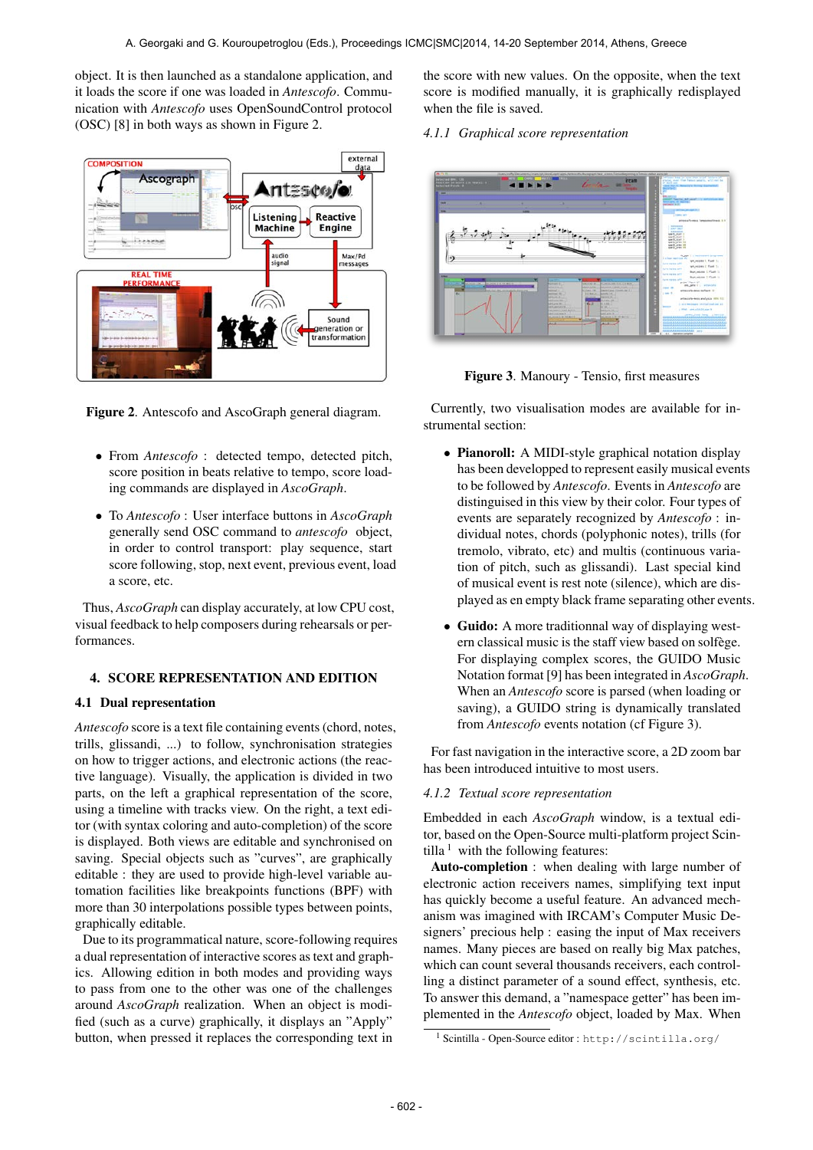object. It is then launched as a standalone application, and it loads the score if one was loaded in *Antescofo*. Communication with *Antescofo* uses OpenSoundControl protocol (OSC) [8] in both ways as shown in Figure 2.



Figure 2. Antescofo and AscoGraph general diagram.

- From *Antescofo* : detected tempo, detected pitch, score position in beats relative to tempo, score loading commands are displayed in *AscoGraph*.
- To *Antescofo* : User interface buttons in *AscoGraph* generally send OSC command to *antescofo* object, in order to control transport: play sequence, start score following, stop, next event, previous event, load a score, etc.

Thus, *AscoGraph* can display accurately, at low CPU cost, visual feedback to help composers during rehearsals or performances.

## 4. SCORE REPRESENTATION AND EDITION

#### 4.1 Dual representation

*Antescofo* score is a text file containing events (chord, notes, trills, glissandi, ...) to follow, synchronisation strategies on how to trigger actions, and electronic actions (the reactive language). Visually, the application is divided in two parts, on the left a graphical representation of the score, using a timeline with tracks view. On the right, a text editor (with syntax coloring and auto-completion) of the score is displayed. Both views are editable and synchronised on saving. Special objects such as "curves", are graphically editable : they are used to provide high-level variable automation facilities like breakpoints functions (BPF) with more than 30 interpolations possible types between points, graphically editable.

Due to its programmatical nature, score-following requires a dual representation of interactive scores as text and graphics. Allowing edition in both modes and providing ways to pass from one to the other was one of the challenges around *AscoGraph* realization. When an object is modified (such as a curve) graphically, it displays an "Apply" button, when pressed it replaces the corresponding text in

the score with new values. On the opposite, when the text score is modified manually, it is graphically redisplayed when the file is saved.

*4.1.1 Graphical score representation*



Figure 3. Manoury - Tensio, first measures

Currently, two visualisation modes are available for instrumental section:

- Pianoroll: A MIDI-style graphical notation display has been developped to represent easily musical events to be followed by *Antescofo*. Events in *Antescofo* are distinguised in this view by their color. Four types of events are separately recognized by *Antescofo* : individual notes, chords (polyphonic notes), trills (for tremolo, vibrato, etc) and multis (continuous variation of pitch, such as glissandi). Last special kind of musical event is rest note (silence), which are displayed as en empty black frame separating other events.
- Guido: A more traditionnal way of displaying western classical music is the staff view based on solfege. For displaying complex scores, the GUIDO Music Notation format [9] has been integrated in *AscoGraph*. When an *Antescofo* score is parsed (when loading or saving), a GUIDO string is dynamically translated from *Antescofo* events notation (cf Figure 3).

For fast navigation in the interactive score, a 2D zoom bar has been introduced intuitive to most users.

#### *4.1.2 Textual score representation*

Embedded in each *AscoGraph* window, is a textual editor, based on the Open-Source multi-platform project Scintilla  $1$  with the following features:

Auto-completion : when dealing with large number of electronic action receivers names, simplifying text input has quickly become a useful feature. An advanced mechanism was imagined with IRCAM's Computer Music Designers' precious help : easing the input of Max receivers names. Many pieces are based on really big Max patches, which can count several thousands receivers, each controlling a distinct parameter of a sound effect, synthesis, etc. To answer this demand, a "namespace getter" has been implemented in the *Antescofo* object, loaded by Max. When

<sup>1</sup> Scintilla - Open-Source editor : <http://scintilla.org/>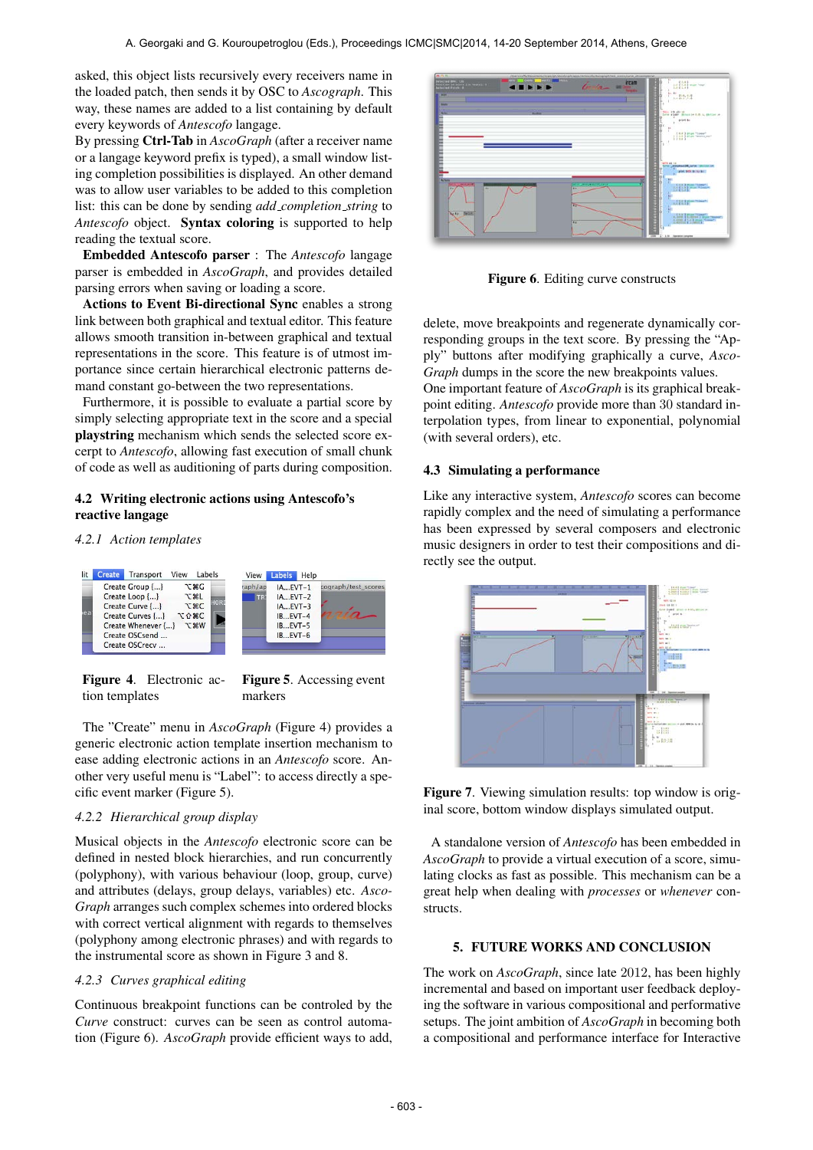asked, this object lists recursively every receivers name in the loaded patch, then sends it by OSC to *Ascograph*. This way, these names are added to a list containing by default every keywords of *Antescofo* langage.

By pressing Ctrl-Tab in *AscoGraph* (after a receiver name or a langage keyword prefix is typed), a small window listing completion possibilities is displayed. An other demand was to allow user variables to be added to this completion list: this can be done by sending *add completion string* to *Antescofo* object. Syntax coloring is supported to help reading the textual score.

Embedded Antescofo parser : The *Antescofo* langage parser is embedded in *AscoGraph*, and provides detailed parsing errors when saving or loading a score.

Actions to Event Bi-directional Sync enables a strong link between both graphical and textual editor. This feature allows smooth transition in-between graphical and textual representations in the score. This feature is of utmost importance since certain hierarchical electronic patterns demand constant go-between the two representations.

Furthermore, it is possible to evaluate a partial score by simply selecting appropriate text in the score and a special playstring mechanism which sends the selected score excerpt to *Antescofo*, allowing fast execution of small chunk of code as well as auditioning of parts during composition.

# 4.2 Writing electronic actions using Antescofo's reactive langage

#### *4.2.1 Action templates*



Figure 4. Electronic action templates

The "Create" menu in *AscoGraph* (Figure 4) provides a generic electronic action template insertion mechanism to ease adding electronic actions in an *Antescofo* score. Another very useful menu is "Label": to access directly a specific event marker (Figure 5).

# *4.2.2 Hierarchical group display*

Musical objects in the *Antescofo* electronic score can be defined in nested block hierarchies, and run concurrently (polyphony), with various behaviour (loop, group, curve) and attributes (delays, group delays, variables) etc. *Asco-Graph* arranges such complex schemes into ordered blocks with correct vertical alignment with regards to themselves (polyphony among electronic phrases) and with regards to the instrumental score as shown in Figure 3 and 8.

# *4.2.3 Curves graphical editing*

Continuous breakpoint functions can be controled by the *Curve* construct: curves can be seen as control automation (Figure 6). *AscoGraph* provide efficient ways to add,



Figure 6. Editing curve constructs

delete, move breakpoints and regenerate dynamically corresponding groups in the text score. By pressing the "Apply" buttons after modifying graphically a curve, *Asco-Graph* dumps in the score the new breakpoints values.

One important feature of *AscoGraph* is its graphical breakpoint editing. *Antescofo* provide more than 30 standard interpolation types, from linear to exponential, polynomial (with several orders), etc.

# 4.3 Simulating a performance

Like any interactive system, *Antescofo* scores can become rapidly complex and the need of simulating a performance has been expressed by several composers and electronic music designers in order to test their compositions and directly see the output.



Figure 7. Viewing simulation results: top window is original score, bottom window displays simulated output.

A standalone version of *Antescofo* has been embedded in *AscoGraph* to provide a virtual execution of a score, simulating clocks as fast as possible. This mechanism can be a great help when dealing with *processes* or *whenever* constructs.

# 5. FUTURE WORKS AND CONCLUSION

The work on *AscoGraph*, since late 2012, has been highly incremental and based on important user feedback deploying the software in various compositional and performative setups. The joint ambition of *AscoGraph* in becoming both a compositional and performance interface for Interactive

Figure 5. Accessing event markers